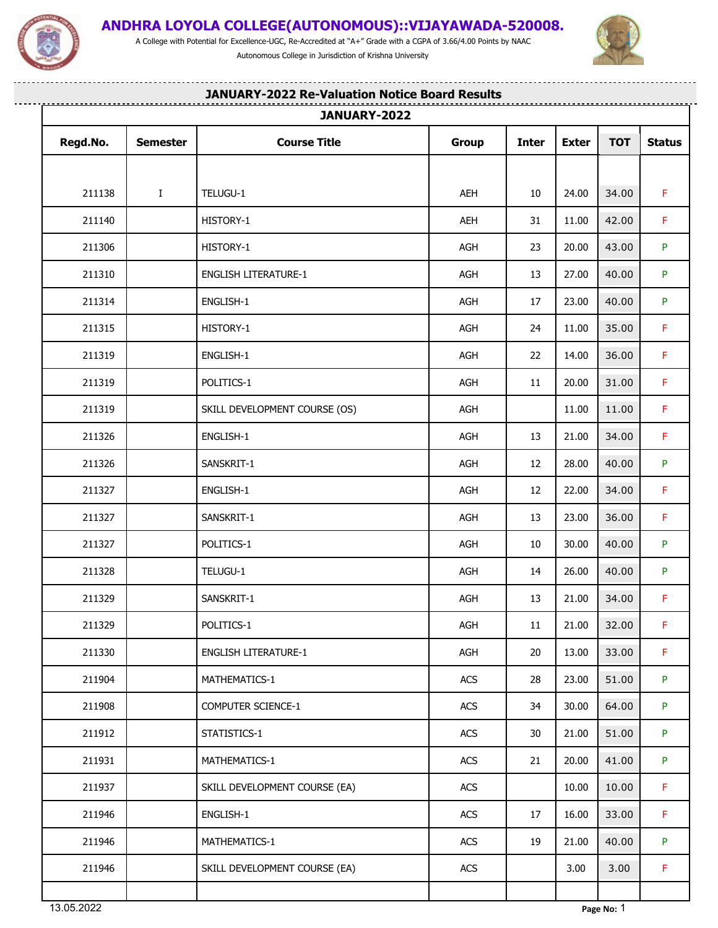

.<u>...................................</u>

## **ANDHRA LOYOLA COLLEGE(AUTONOMOUS)::VIJAYAWADA-520008.**

A College with Potential for Excellence-UGC, Re-Accredited at "A+" Grade with a CGPA of 3.66/4.00 Points by NAAC Autonomous College in Jurisdiction of Krishna University

........................



. . . . . .

. . . . . . . . . . . . . . . . . . .

|          |                 | JANUARY-2022                  |       |              |              |            |               |
|----------|-----------------|-------------------------------|-------|--------------|--------------|------------|---------------|
| Regd.No. | <b>Semester</b> | <b>Course Title</b>           | Group | <b>Inter</b> | <b>Exter</b> | <b>TOT</b> | <b>Status</b> |
|          |                 |                               |       |              |              |            |               |
| 211138   | $\bf{I}$        | TELUGU-1                      | AEH   | 10           | 24.00        | 34.00      | F.            |
| 211140   |                 | HISTORY-1                     | AEH   | 31           | 11.00        | 42.00      | F.            |
| 211306   |                 | HISTORY-1                     | AGH   | 23           | 20.00        | 43.00      | P.            |
| 211310   |                 | <b>ENGLISH LITERATURE-1</b>   | AGH   | 13           | 27.00        | 40.00      | P             |
| 211314   |                 | ENGLISH-1                     | AGH   | 17           | 23.00        | 40.00      | P             |
| 211315   |                 | HISTORY-1                     | AGH   | 24           | 11.00        | 35.00      | F.            |
| 211319   |                 | ENGLISH-1                     | AGH   | 22           | 14.00        | 36.00      | F             |
| 211319   |                 | POLITICS-1                    | AGH   | 11           | 20.00        | 31.00      | F.            |
| 211319   |                 | SKILL DEVELOPMENT COURSE (OS) | AGH   |              | 11.00        | 11.00      | F.            |
| 211326   |                 | ENGLISH-1                     | AGH   | 13           | 21.00        | 34.00      | $\mathsf F$   |
| 211326   |                 | SANSKRIT-1                    | AGH   | 12           | 28.00        | 40.00      | P             |
| 211327   |                 | ENGLISH-1                     | AGH   | 12           | 22.00        | 34.00      | F.            |
| 211327   |                 | SANSKRIT-1                    | AGH   | 13           | 23.00        | 36.00      | F.            |
| 211327   |                 | POLITICS-1                    | AGH   | 10           | 30.00        | 40.00      | P.            |
| 211328   |                 | TELUGU-1                      | AGH   | 14           | 26.00        | 40.00      | P.            |
| 211329   |                 | SANSKRIT-1                    | AGH   | 13           | 21.00        | 34.00      | F.            |
| 211329   |                 | POLITICS-1                    | AGH   | 11           | 21.00        | 32.00      | F.            |
| 211330   |                 | <b>ENGLISH LITERATURE-1</b>   | AGH   | 20           | 13.00        | 33.00      | F.            |
| 211904   |                 | MATHEMATICS-1                 | ACS   | 28           | 23.00        | 51.00      | P.            |
| 211908   |                 | COMPUTER SCIENCE-1            | ACS   | 34           | 30.00        | 64.00      | P.            |
| 211912   |                 | STATISTICS-1                  | ACS   | 30           | 21.00        | 51.00      | P.            |
| 211931   |                 | MATHEMATICS-1                 | ACS   | 21           | 20.00        | 41.00      | P             |
| 211937   |                 | SKILL DEVELOPMENT COURSE (EA) | ACS   |              | 10.00        | 10.00      | F.            |
| 211946   |                 | ENGLISH-1                     | ACS   | 17           | 16.00        | 33.00      | F.            |
| 211946   |                 | MATHEMATICS-1                 | ACS   | 19           | 21.00        | 40.00      | P.            |
| 211946   |                 | SKILL DEVELOPMENT COURSE (EA) | ACS   |              | 3.00         | 3.00       | F.            |
|          |                 |                               |       |              |              |            |               |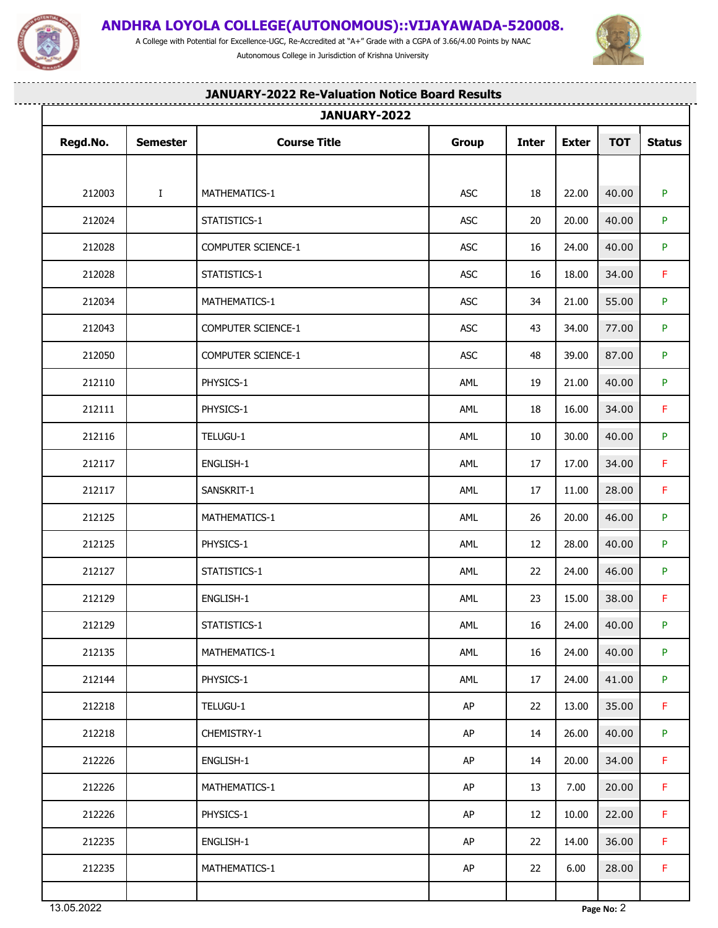

## **ANDHRA LOYOLA COLLEGE(AUTONOMOUS)::VIJAYAWADA-520008.**

A College with Potential for Excellence-UGC, Re-Accredited at "A+" Grade with a CGPA of 3.66/4.00 Points by NAAC Autonomous College in Jurisdiction of Krishna University

........................



. . . . . .

-------------------

|          |                 | JANUARY-2022              |            |              |              |            |               |
|----------|-----------------|---------------------------|------------|--------------|--------------|------------|---------------|
| Regd.No. | <b>Semester</b> | <b>Course Title</b>       | Group      | <b>Inter</b> | <b>Exter</b> | <b>TOT</b> | <b>Status</b> |
|          |                 |                           |            |              |              |            |               |
| 212003   | $\mathbf{I}$    | MATHEMATICS-1             | <b>ASC</b> | 18           | 22.00        | 40.00      | P.            |
| 212024   |                 | STATISTICS-1              | <b>ASC</b> | 20           | 20.00        | 40.00      | P.            |
| 212028   |                 | COMPUTER SCIENCE-1        | ASC        | 16           | 24.00        | 40.00      | P             |
| 212028   |                 | STATISTICS-1              | ASC        | 16           | 18.00        | 34.00      | F.            |
| 212034   |                 | MATHEMATICS-1             | <b>ASC</b> | 34           | 21.00        | 55.00      | P.            |
| 212043   |                 | COMPUTER SCIENCE-1        | ASC        | 43           | 34.00        | 77.00      | P.            |
| 212050   |                 | <b>COMPUTER SCIENCE-1</b> | <b>ASC</b> | 48           | 39.00        | 87.00      | P.            |
| 212110   |                 | PHYSICS-1                 | AML        | 19           | 21.00        | 40.00      | P.            |
| 212111   |                 | PHYSICS-1                 | AML        | 18           | 16.00        | 34.00      | F.            |
| 212116   |                 | TELUGU-1                  | AML        | 10           | 30.00        | 40.00      | P.            |
| 212117   |                 | ENGLISH-1                 | AML        | 17           | 17.00        | 34.00      | F.            |
| 212117   |                 | SANSKRIT-1                | AML        | 17           | 11.00        | 28.00      | F.            |
| 212125   |                 | MATHEMATICS-1             | AML        | 26           | 20.00        | 46.00      | P.            |
| 212125   |                 | PHYSICS-1                 | AML        | 12           | 28.00        | 40.00      | P.            |
| 212127   |                 | STATISTICS-1              | AML        | 22           | 24.00        | 46.00      | P.            |
| 212129   |                 | ENGLISH-1                 | AML        | 23           | 15.00        | 38.00      | F.            |
| 212129   |                 | STATISTICS-1              | AML        | 16           | 24.00        | 40.00      | P.            |
| 212135   |                 | MATHEMATICS-1             | AML        | 16           | 24.00        | 40.00      | P.            |
| 212144   |                 | PHYSICS-1                 | AML        | 17           | 24.00        | 41.00      | P.            |
| 212218   |                 | TELUGU-1                  | AP         | 22           | 13.00        | 35.00      | F.            |
| 212218   |                 | CHEMISTRY-1               | AP         | 14           | 26.00        | 40.00      | P.            |
| 212226   |                 | ENGLISH-1                 | AP         | 14           | 20.00        | 34.00      | F.            |
| 212226   |                 | MATHEMATICS-1             | AP         | 13           | 7.00         | 20.00      | F.            |
| 212226   |                 | PHYSICS-1                 | AP         | 12           | 10.00        | 22.00      | F.            |
| 212235   |                 | ENGLISH-1                 | AP         | 22           | 14.00        | 36.00      | F.            |
| 212235   |                 | MATHEMATICS-1             | AP         | 22           | 6.00         | 28.00      | F.            |
|          |                 |                           |            |              |              |            |               |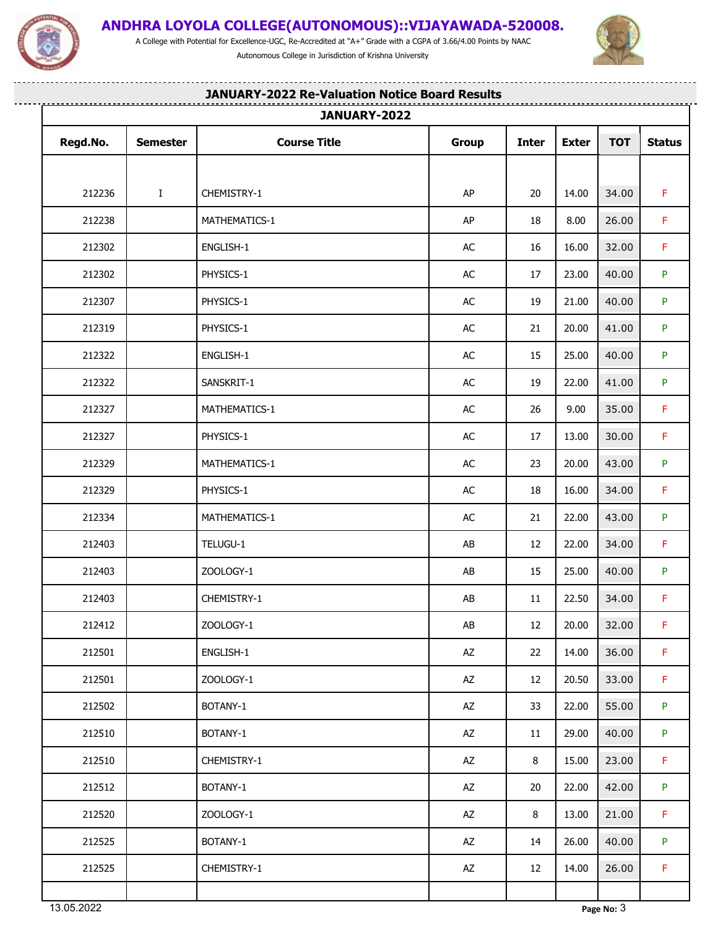

A College with Potential for Excellence-UGC, Re-Accredited at "A+" Grade with a CGPA of 3.66/4.00 Points by NAAC Autonomous College in Jurisdiction of Krishna University



--------

----------------------

## **JANUARY-2022 Re-Valuation Notice Board Results**

|          |                 | JANUARY-2022        |              |              |              |            |               |
|----------|-----------------|---------------------|--------------|--------------|--------------|------------|---------------|
| Regd.No. | <b>Semester</b> | <b>Course Title</b> | <b>Group</b> | <b>Inter</b> | <b>Exter</b> | <b>TOT</b> | <b>Status</b> |
| 212236   | $\mathbf{I}$    | CHEMISTRY-1         | AP           | 20           | 14.00        | 34.00      | F.            |
|          |                 |                     | AP           |              |              |            | F.            |
| 212238   |                 | MATHEMATICS-1       |              | 18           | 8.00         | 26.00      |               |
| 212302   |                 | ENGLISH-1           | AC           | 16           | 16.00        | 32.00      | F.            |
| 212302   |                 | PHYSICS-1           | AC           | 17           | 23.00        | 40.00      | P.            |
| 212307   |                 | PHYSICS-1           | AC           | 19           | 21.00        | 40.00      | P             |
| 212319   |                 | PHYSICS-1           | AC           | 21           | 20.00        | 41.00      | P             |
| 212322   |                 | ENGLISH-1           | AC           | 15           | 25.00        | 40.00      | P             |
| 212322   |                 | SANSKRIT-1          | AC           | 19           | 22.00        | 41.00      | P.            |
| 212327   |                 | MATHEMATICS-1       | AC           | 26           | 9.00         | 35.00      | F.            |
| 212327   |                 | PHYSICS-1           | $\sf AC$     | 17           | 13.00        | 30.00      | F.            |
| 212329   |                 | MATHEMATICS-1       | AC           | 23           | 20.00        | 43.00      | P.            |
| 212329   |                 | PHYSICS-1           | AC           | 18           | 16.00        | 34.00      | F.            |
| 212334   |                 | MATHEMATICS-1       | $\sf AC$     | 21           | 22.00        | 43.00      | P.            |
| 212403   |                 | TELUGU-1            | AB           | 12           | 22.00        | 34.00      | F.            |
| 212403   |                 | ZOOLOGY-1           | AB           | 15           | 25.00        | 40.00      | P.            |
| 212403   |                 | CHEMISTRY-1         | AB           | 11           | 22.50        | 34.00      | F.            |
| 212412   |                 | ZOOLOGY-1           | ${\sf AB}$   | 12           | 20.00        | 32.00      | F             |
| 212501   |                 | ENGLISH-1           | AZ           | 22           | 14.00        | 36.00      | F.            |
| 212501   |                 | ZOOLOGY-1           | AZ           | 12           | 20.50        | 33.00      | F.            |
| 212502   |                 | BOTANY-1            | AZ           | 33           | 22.00        | 55.00      | P.            |
| 212510   |                 | BOTANY-1            | AZ           | 11           | 29.00        | 40.00      | P.            |
| 212510   |                 | CHEMISTRY-1         | AZ           | 8            | 15.00        | 23.00      | F.            |
| 212512   |                 | BOTANY-1            | AZ           | 20           | 22.00        | 42.00      | P.            |
| 212520   |                 | ZOOLOGY-1           | AZ           | 8            | 13.00        | 21.00      | F.            |
| 212525   |                 | BOTANY-1            | AZ           | 14           | 26.00        | 40.00      | P.            |
| 212525   |                 | CHEMISTRY-1         | AZ           | 12           | 14.00        | 26.00      | F.            |
|          |                 |                     |              |              |              |            |               |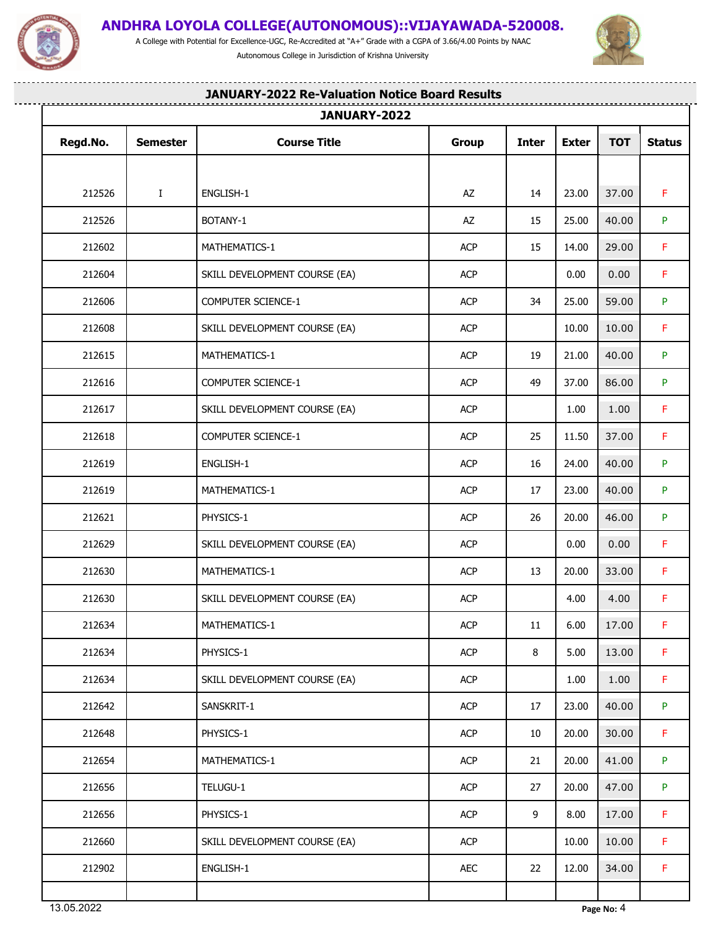

A College with Potential for Excellence-UGC, Re-Accredited at "A+" Grade with a CGPA of 3.66/4.00 Points by NAAC Autonomous College in Jurisdiction of Krishna University

.........................



---------

-------------------------

# **JANUARY-2022 Re-Valuation Notice Board Results**

|          |                 | JANUARY-2022                  |            |              |              |            |               |
|----------|-----------------|-------------------------------|------------|--------------|--------------|------------|---------------|
| Regd.No. | <b>Semester</b> | <b>Course Title</b>           | Group      | <b>Inter</b> | <b>Exter</b> | <b>TOT</b> | <b>Status</b> |
|          |                 |                               |            |              |              |            |               |
| 212526   | $\mathbf{I}$    | ENGLISH-1                     | AZ         | 14           | 23.00        | 37.00      | F.            |
| 212526   |                 | BOTANY-1                      | AZ         | 15           | 25.00        | 40.00      | P.            |
| 212602   |                 | MATHEMATICS-1                 | ACP        | 15           | 14.00        | 29.00      | F.            |
| 212604   |                 | SKILL DEVELOPMENT COURSE (EA) | <b>ACP</b> |              | 0.00         | 0.00       | $\mathsf F$   |
| 212606   |                 | COMPUTER SCIENCE-1            | ACP        | 34           | 25.00        | 59.00      | P.            |
| 212608   |                 | SKILL DEVELOPMENT COURSE (EA) | <b>ACP</b> |              | 10.00        | 10.00      | F.            |
| 212615   |                 | MATHEMATICS-1                 | <b>ACP</b> | 19           | 21.00        | 40.00      | P.            |
| 212616   |                 | COMPUTER SCIENCE-1            | ACP        | 49           | 37.00        | 86.00      | P.            |
| 212617   |                 | SKILL DEVELOPMENT COURSE (EA) | ACP        |              | 1.00         | 1.00       | F.            |
| 212618   |                 | COMPUTER SCIENCE-1            | <b>ACP</b> | 25           | 11.50        | 37.00      | $\mathsf F$   |
| 212619   |                 | ENGLISH-1                     | ACP        | 16           | 24.00        | 40.00      | P.            |
| 212619   |                 | MATHEMATICS-1                 | <b>ACP</b> | 17           | 23.00        | 40.00      | P.            |
| 212621   |                 | PHYSICS-1                     | ACP        | 26           | 20.00        | 46.00      | P.            |
| 212629   |                 | SKILL DEVELOPMENT COURSE (EA) | <b>ACP</b> |              | 0.00         | 0.00       | F.            |
| 212630   |                 | MATHEMATICS-1                 | ACP        | 13           | 20.00        | 33.00      | F.            |
| 212630   |                 | SKILL DEVELOPMENT COURSE (EA) | <b>ACP</b> |              | 4.00         | 4.00       | $\mathsf F$   |
| 212634   |                 | MATHEMATICS-1                 | ACP        | 11           | 6.00         | 17.00      | F             |
| 212634   |                 | PHYSICS-1                     | <b>ACP</b> | 8            | 5.00         | 13.00      | F.            |
| 212634   |                 | SKILL DEVELOPMENT COURSE (EA) | ACP        |              | 1.00         | 1.00       | F.            |
| 212642   |                 | SANSKRIT-1                    | ACP        | 17           | 23.00        | 40.00      | P.            |
| 212648   |                 | PHYSICS-1                     | ACP        | 10           | 20.00        | 30.00      | F.            |
| 212654   |                 | MATHEMATICS-1                 | ACP        | 21           | 20.00        | 41.00      | P.            |
| 212656   |                 | TELUGU-1                      | ACP        | 27           | 20.00        | 47.00      | P.            |
| 212656   |                 | PHYSICS-1                     | ACP        | 9            | 8.00         | 17.00      | F.            |
| 212660   |                 | SKILL DEVELOPMENT COURSE (EA) | ACP        |              | 10.00        | 10.00      | F.            |
| 212902   |                 | ENGLISH-1                     | AEC        | 22           | 12.00        | 34.00      | F.            |
|          |                 |                               |            |              |              |            |               |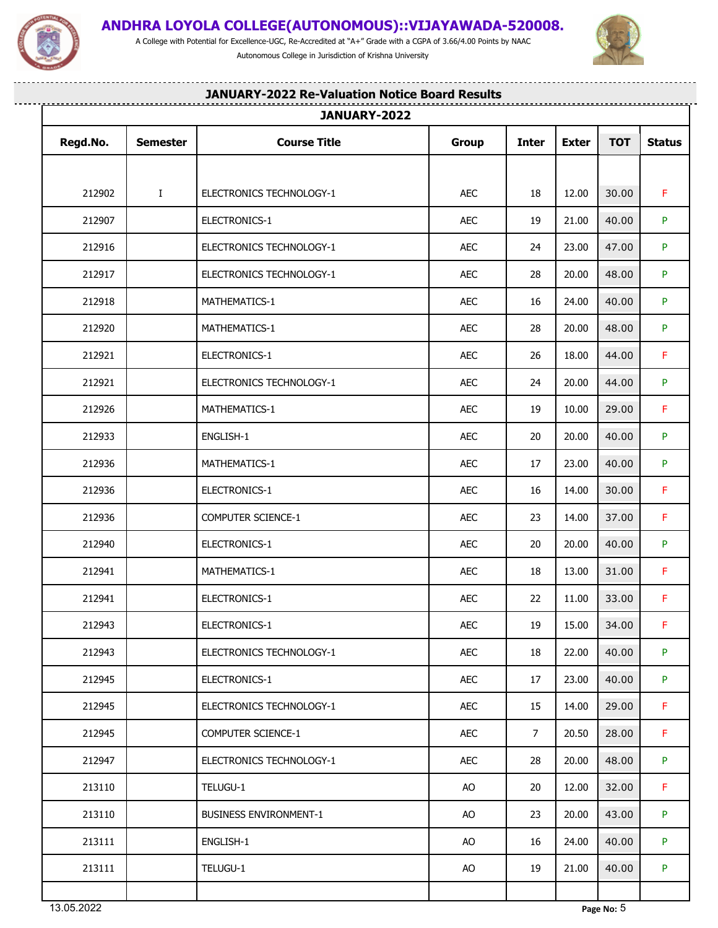

A College with Potential for Excellence-UGC, Re-Accredited at "A+" Grade with a CGPA of 3.66/4.00 Points by NAAC Autonomous College in Jurisdiction of Krishna University



-------

--------------------

## **JANUARY-2022 Re-Valuation Notice Board Results**

|          |                 | JANUARY-2022                  |              |                 |              |               |               |  |  |  |  |
|----------|-----------------|-------------------------------|--------------|-----------------|--------------|---------------|---------------|--|--|--|--|
| Regd.No. | <b>Semester</b> | <b>Course Title</b>           | <b>Group</b> | <b>Inter</b>    | <b>Exter</b> | <b>TOT</b>    | <b>Status</b> |  |  |  |  |
|          |                 |                               |              |                 |              |               |               |  |  |  |  |
| 212902   | $\mathbf{I}$    | ELECTRONICS TECHNOLOGY-1      | AEC          | 18              | 12.00        | 30.00         | F.            |  |  |  |  |
| 212907   |                 | ELECTRONICS-1                 | <b>AEC</b>   | 19              | 21.00        | 40.00         | P.            |  |  |  |  |
| 212916   |                 | ELECTRONICS TECHNOLOGY-1      | AEC          | 24              | 23.00        | 47.00         | P.            |  |  |  |  |
| 212917   |                 | ELECTRONICS TECHNOLOGY-1      | <b>AEC</b>   | 28              | 20.00        | 48.00         | P.            |  |  |  |  |
| 212918   |                 | MATHEMATICS-1                 | <b>AEC</b>   | 16              | 24.00        | 40.00         | P.            |  |  |  |  |
| 212920   |                 | MATHEMATICS-1                 | AEC          | 28              | 20.00        | 48.00         | P.            |  |  |  |  |
| 212921   |                 | ELECTRONICS-1                 | <b>AEC</b>   | 26              | 18.00        | 44.00         | F.            |  |  |  |  |
| 212921   |                 | ELECTRONICS TECHNOLOGY-1      | <b>AEC</b>   | 24              | 20.00        | 44.00         | P.            |  |  |  |  |
| 212926   |                 | MATHEMATICS-1                 | AEC          | 19              | 10.00        | 29.00         | F.            |  |  |  |  |
| 212933   |                 | ENGLISH-1                     | AEC          | 20              | 20.00        | 40.00         | P.            |  |  |  |  |
| 212936   |                 | MATHEMATICS-1                 | AEC          | 17              | 23.00        | 40.00         | P.            |  |  |  |  |
| 212936   |                 | ELECTRONICS-1                 | <b>AEC</b>   | 16              | 14.00        | 30.00         | F.            |  |  |  |  |
| 212936   |                 | COMPUTER SCIENCE-1            | <b>AEC</b>   | 23              | 14.00        | 37.00         | F.            |  |  |  |  |
| 212940   |                 | ELECTRONICS-1                 | AEC          | 20              | 20.00        | 40.00         | P.            |  |  |  |  |
| 212941   |                 | MATHEMATICS-1                 | AEC          | 18              | 13.00        | 31.00         | F.            |  |  |  |  |
| 212941   |                 | ELECTRONICS-1                 | <b>AEC</b>   | 22              | 11.00        | 33.00         | F.            |  |  |  |  |
| 212943   |                 | ELECTRONICS-1                 | AEC          | 19              |              | $15.00$ 34.00 | F.            |  |  |  |  |
| 212943   |                 | ELECTRONICS TECHNOLOGY-1      | <b>AEC</b>   | 18              | 22.00        | 40.00         | P.            |  |  |  |  |
| 212945   |                 | ELECTRONICS-1                 | AEC          | 17              | 23.00        | 40.00         | P.            |  |  |  |  |
| 212945   |                 | ELECTRONICS TECHNOLOGY-1      | AEC          | 15              | 14.00        | 29.00         | F.            |  |  |  |  |
| 212945   |                 | COMPUTER SCIENCE-1            | AEC          | $7\overline{ }$ | 20.50        | 28.00         | F.            |  |  |  |  |
| 212947   |                 | ELECTRONICS TECHNOLOGY-1      | AEC          | 28              | 20.00        | 48.00         | P.            |  |  |  |  |
| 213110   |                 | TELUGU-1                      | AO           | 20              | 12.00        | 32.00         | F.            |  |  |  |  |
| 213110   |                 | <b>BUSINESS ENVIRONMENT-1</b> | AO           | 23              | 20.00        | 43.00         | P.            |  |  |  |  |
| 213111   |                 | ENGLISH-1                     | AO           | 16              | 24.00        | 40.00         | P.            |  |  |  |  |
| 213111   |                 | TELUGU-1                      | AO           | 19              | 21.00        | 40.00         | P.            |  |  |  |  |
|          |                 |                               |              |                 |              |               |               |  |  |  |  |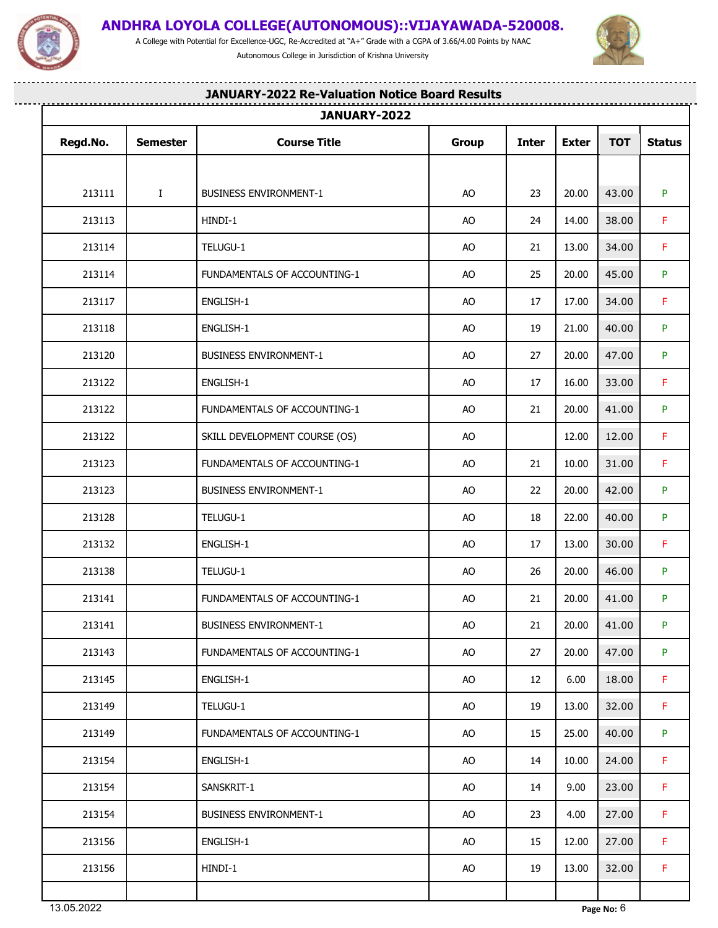

A College with Potential for Excellence-UGC, Re-Accredited at "A+" Grade with a CGPA of 3.66/4.00 Points by NAAC Autonomous College in Jurisdiction of Krishna University



-------

--------------------

## **JANUARY-2022 Re-Valuation Notice Board Results**

| Regd.No. | <b>Semester</b> | <b>Course Title</b>           | Group     | <b>Inter</b> | <b>Exter</b> | <b>TOT</b>    | <b>Status</b> |  |  |  |
|----------|-----------------|-------------------------------|-----------|--------------|--------------|---------------|---------------|--|--|--|
|          |                 |                               |           |              |              |               |               |  |  |  |
| 213111   | $\bf{I}$        | <b>BUSINESS ENVIRONMENT-1</b> | AO        | 23           | 20.00        | 43.00         | P.            |  |  |  |
| 213113   |                 | HINDI-1                       | AO        | 24           | 14.00        | 38.00         | F.            |  |  |  |
| 213114   |                 | TELUGU-1                      | AO        | 21           | 13.00        | 34.00         | F.            |  |  |  |
| 213114   |                 | FUNDAMENTALS OF ACCOUNTING-1  | AO        | 25           | 20.00        | 45.00         | P.            |  |  |  |
| 213117   |                 | ENGLISH-1                     | AO        | 17           | 17.00        | 34.00         | F.            |  |  |  |
| 213118   |                 | ENGLISH-1                     | AO        | 19           | 21.00        | 40.00         | P.            |  |  |  |
| 213120   |                 | <b>BUSINESS ENVIRONMENT-1</b> | AO        | 27           | 20.00        | 47.00         | P.            |  |  |  |
| 213122   |                 | ENGLISH-1                     | AO        | 17           | 16.00        | 33.00         | F.            |  |  |  |
| 213122   |                 | FUNDAMENTALS OF ACCOUNTING-1  | AO        | 21           | 20.00        | 41.00         | P.            |  |  |  |
| 213122   |                 | SKILL DEVELOPMENT COURSE (OS) | AO        |              | 12.00        | 12.00         | F.            |  |  |  |
| 213123   |                 | FUNDAMENTALS OF ACCOUNTING-1  | AO        | 21           | 10.00        | 31.00         | F.            |  |  |  |
| 213123   |                 | <b>BUSINESS ENVIRONMENT-1</b> | AO        | 22           | 20.00        | 42.00         | P.            |  |  |  |
| 213128   |                 | TELUGU-1                      | AO        | 18           | 22.00        | 40.00         | P.            |  |  |  |
| 213132   |                 | ENGLISH-1                     | AO        | 17           | 13.00        | 30.00         | F.            |  |  |  |
| 213138   |                 | TELUGU-1                      | AO        | 26           | 20.00        | 46.00         | P.            |  |  |  |
| 213141   |                 | FUNDAMENTALS OF ACCOUNTING-1  | AO        | 21           | 20.00        | 41.00         | P.            |  |  |  |
| 213141   |                 | <b>BUSINESS ENVIRONMENT-1</b> | AO        | 21           |              | $20.00$ 41.00 | P.            |  |  |  |
| 213143   |                 | FUNDAMENTALS OF ACCOUNTING-1  | AO        | 27           | 20.00        | 47.00         | P.            |  |  |  |
| 213145   |                 | ENGLISH-1                     | <b>AO</b> | 12           | 6.00         | 18.00         | F.            |  |  |  |
| 213149   |                 | TELUGU-1                      | AO        | 19           | 13.00        | 32.00         | F.            |  |  |  |
| 213149   |                 | FUNDAMENTALS OF ACCOUNTING-1  | <b>AO</b> | 15           | 25.00        | 40.00         | P.            |  |  |  |
| 213154   |                 | ENGLISH-1                     | AO        | 14           | 10.00        | 24.00         | $\mathsf F$   |  |  |  |
| 213154   |                 | SANSKRIT-1                    | AO        | 14           | 9.00         | 23.00         | F.            |  |  |  |
| 213154   |                 | <b>BUSINESS ENVIRONMENT-1</b> | AO        | 23           | 4.00         | 27.00         | $\mathsf F$   |  |  |  |
| 213156   |                 | ENGLISH-1                     | AO        | 15           | 12.00        | 27.00         | F.            |  |  |  |
| 213156   |                 | HINDI-1                       | AO        | 19           | 13.00        | 32.00         | F.            |  |  |  |
|          |                 |                               |           |              |              |               |               |  |  |  |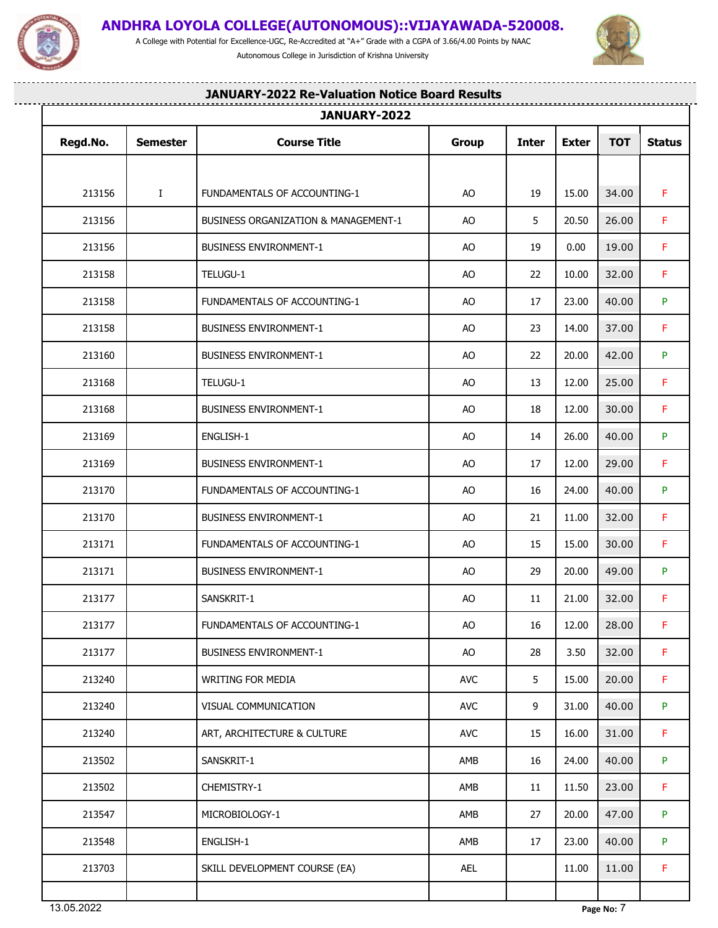

.<u>...................................</u>

## **ANDHRA LOYOLA COLLEGE(AUTONOMOUS)::VIJAYAWADA-520008.**

A College with Potential for Excellence-UGC, Re-Accredited at "A+" Grade with a CGPA of 3.66/4.00 Points by NAAC Autonomous College in Jurisdiction of Krishna University

........................



------

-------------------

|          |                 | JANUARY-2022                         |              |              |              |            |               |
|----------|-----------------|--------------------------------------|--------------|--------------|--------------|------------|---------------|
| Regd.No. | <b>Semester</b> | <b>Course Title</b>                  | <b>Group</b> | <b>Inter</b> | <b>Exter</b> | <b>TOT</b> | <b>Status</b> |
|          |                 |                                      |              |              |              |            |               |
| 213156   | $\bf{I}$        | FUNDAMENTALS OF ACCOUNTING-1         | AO           | 19           | 15.00        | 34.00      | F.            |
| 213156   |                 | BUSINESS ORGANIZATION & MANAGEMENT-1 | AO           | 5            | 20.50        | 26.00      | F.            |
| 213156   |                 | <b>BUSINESS ENVIRONMENT-1</b>        | AO           | 19           | 0.00         | 19.00      | F.            |
| 213158   |                 | TELUGU-1                             | AO           | 22           | 10.00        | 32.00      | F.            |
| 213158   |                 | FUNDAMENTALS OF ACCOUNTING-1         | AO           | 17           | 23.00        | 40.00      | P.            |
| 213158   |                 | <b>BUSINESS ENVIRONMENT-1</b>        | AO           | 23           | 14.00        | 37.00      | F.            |
| 213160   |                 | <b>BUSINESS ENVIRONMENT-1</b>        | AO           | 22           | 20.00        | 42.00      | P             |
| 213168   |                 | TELUGU-1                             | AO           | 13           | 12.00        | 25.00      | F.            |
| 213168   |                 | <b>BUSINESS ENVIRONMENT-1</b>        | AO           | 18           | 12.00        | 30.00      | F.            |
| 213169   |                 | ENGLISH-1                            | AO           | 14           | 26.00        | 40.00      | P.            |
| 213169   |                 | <b>BUSINESS ENVIRONMENT-1</b>        | AO           | 17           | 12.00        | 29.00      | F.            |
| 213170   |                 | FUNDAMENTALS OF ACCOUNTING-1         | AO           | 16           | 24.00        | 40.00      | P.            |
| 213170   |                 | <b>BUSINESS ENVIRONMENT-1</b>        | AO           | 21           | 11.00        | 32.00      | F.            |
| 213171   |                 | FUNDAMENTALS OF ACCOUNTING-1         | AO           | 15           | 15.00        | 30.00      | F.            |
| 213171   |                 | <b>BUSINESS ENVIRONMENT-1</b>        | AO           | 29           | 20.00        | 49.00      | P.            |
| 213177   |                 | SANSKRIT-1                           | AO           | 11           | 21.00        | 32.00      | F.            |
| 213177   |                 | FUNDAMENTALS OF ACCOUNTING-1         | AO           | 16           | 12.00        | 28.00      | F             |
| 213177   |                 | <b>BUSINESS ENVIRONMENT-1</b>        | AO           | 28           | 3.50         | 32.00      | F.            |
| 213240   |                 | WRITING FOR MEDIA                    | <b>AVC</b>   | 5            | 15.00        | 20.00      | F.            |
| 213240   |                 | VISUAL COMMUNICATION                 | <b>AVC</b>   | 9            | 31.00        | 40.00      | P.            |
| 213240   |                 | ART, ARCHITECTURE & CULTURE          | <b>AVC</b>   | 15           | 16.00        | 31.00      | F.            |
| 213502   |                 | SANSKRIT-1                           | AMB          | 16           | 24.00        | 40.00      | P.            |
| 213502   |                 | CHEMISTRY-1                          | AMB          | 11           | 11.50        | 23.00      | F.            |
| 213547   |                 | MICROBIOLOGY-1                       | AMB          | 27           | 20.00        | 47.00      | P.            |
| 213548   |                 | ENGLISH-1                            | AMB          | 17           | 23.00        | 40.00      | P.            |
| 213703   |                 | SKILL DEVELOPMENT COURSE (EA)        | AEL          |              | 11.00        | 11.00      | F.            |
|          |                 |                                      |              |              |              |            |               |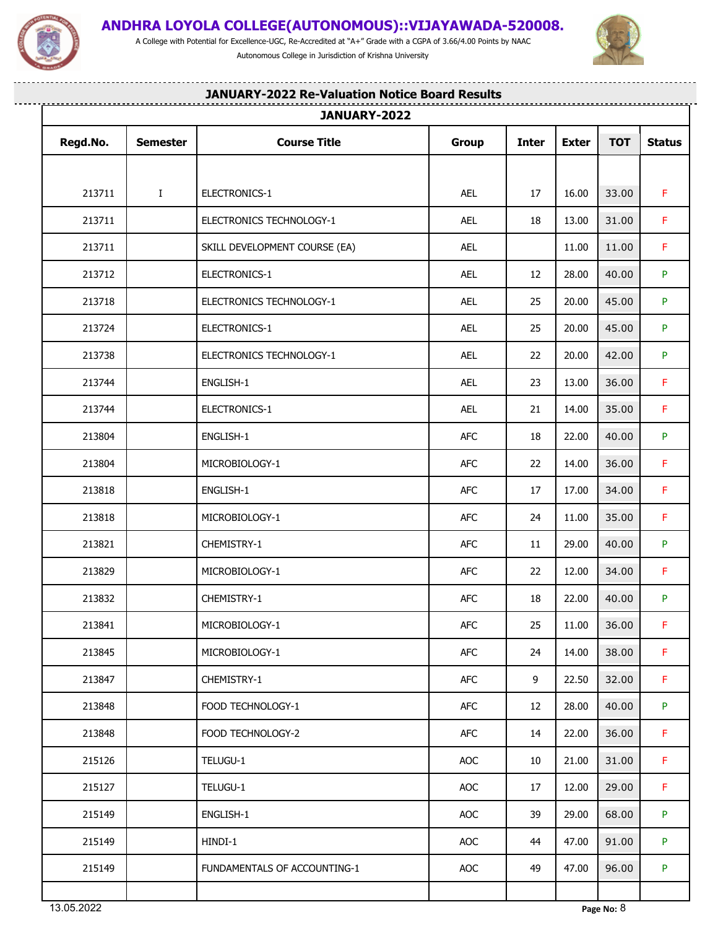

A College with Potential for Excellence-UGC, Re-Accredited at "A+" Grade with a CGPA of 3.66/4.00 Points by NAAC Autonomous College in Jurisdiction of Krishna University



--------

----------------------

## **JANUARY-2022 Re-Valuation Notice Board Results**

| Regd.No. | <b>Semester</b> | <b>Course Title</b>           | <b>Group</b> | <b>Inter</b> | <b>Exter</b> | <b>TOT</b>    | <b>Status</b> |  |  |  |
|----------|-----------------|-------------------------------|--------------|--------------|--------------|---------------|---------------|--|--|--|
|          |                 |                               |              |              |              |               |               |  |  |  |
| 213711   | $\mathbf{I}$    | ELECTRONICS-1                 | AEL          | 17           | 16.00        | 33.00         | F.            |  |  |  |
| 213711   |                 | ELECTRONICS TECHNOLOGY-1      | AEL          | 18           | 13.00        | 31.00         | F.            |  |  |  |
| 213711   |                 | SKILL DEVELOPMENT COURSE (EA) | AEL          |              | 11.00        | 11.00         | $\mathsf F$   |  |  |  |
| 213712   |                 | ELECTRONICS-1                 | AEL          | 12           | 28.00        | 40.00         | P.            |  |  |  |
| 213718   |                 | ELECTRONICS TECHNOLOGY-1      | AEL          | 25           | 20.00        | 45.00         | P.            |  |  |  |
| 213724   |                 | ELECTRONICS-1                 | AEL          | 25           | 20.00        | 45.00         | P.            |  |  |  |
| 213738   |                 | ELECTRONICS TECHNOLOGY-1      | AEL          | 22           | 20.00        | 42.00         | P.            |  |  |  |
| 213744   |                 | ENGLISH-1                     | AEL          | 23           | 13.00        | 36.00         | F.            |  |  |  |
| 213744   |                 | ELECTRONICS-1                 | AEL          | 21           | 14.00        | 35.00         | $\mathsf F$   |  |  |  |
| 213804   |                 | ENGLISH-1                     | AFC          | 18           | 22.00        | 40.00         | P.            |  |  |  |
| 213804   |                 | MICROBIOLOGY-1                | AFC          | 22           | 14.00        | 36.00         | $\mathsf F$   |  |  |  |
| 213818   |                 | ENGLISH-1                     | <b>AFC</b>   | 17           | 17.00        | 34.00         | F.            |  |  |  |
| 213818   |                 | MICROBIOLOGY-1                | <b>AFC</b>   | 24           | 11.00        | 35.00         | F.            |  |  |  |
| 213821   |                 | CHEMISTRY-1                   | <b>AFC</b>   | 11           | 29.00        | 40.00         | P.            |  |  |  |
| 213829   |                 | MICROBIOLOGY-1                | AFC          | 22           | 12.00        | 34.00         | F.            |  |  |  |
| 213832   |                 | CHEMISTRY-1                   | <b>AFC</b>   | 18           | 22.00        | 40.00         | P.            |  |  |  |
| 213841   |                 | MICROBIOLOGY-1                | AFC          | 25           |              | $11.00$ 36.00 | F             |  |  |  |
| 213845   |                 | MICROBIOLOGY-1                | AFC          | 24           | 14.00        | 38.00         | F.            |  |  |  |
| 213847   |                 | CHEMISTRY-1                   | AFC          | 9            | 22.50        | 32.00         | F.            |  |  |  |
| 213848   |                 | FOOD TECHNOLOGY-1             | AFC          | 12           | 28.00        | 40.00         | P.            |  |  |  |
| 213848   |                 | FOOD TECHNOLOGY-2             | AFC          | 14           | 22.00        | 36.00         | $\mathsf F$   |  |  |  |
| 215126   |                 | TELUGU-1                      | AOC          | 10           | 21.00        | 31.00         | $\mathsf F$   |  |  |  |
| 215127   |                 | TELUGU-1                      | AOC          | 17           | 12.00        | 29.00         | F.            |  |  |  |
| 215149   |                 | ENGLISH-1                     | AOC          | 39           | 29.00        | 68.00         | P.            |  |  |  |
| 215149   |                 | HINDI-1                       | AOC          | 44           | 47.00        | 91.00         | P.            |  |  |  |
| 215149   |                 | FUNDAMENTALS OF ACCOUNTING-1  | AOC          | 49           | 47.00        | 96.00         | P             |  |  |  |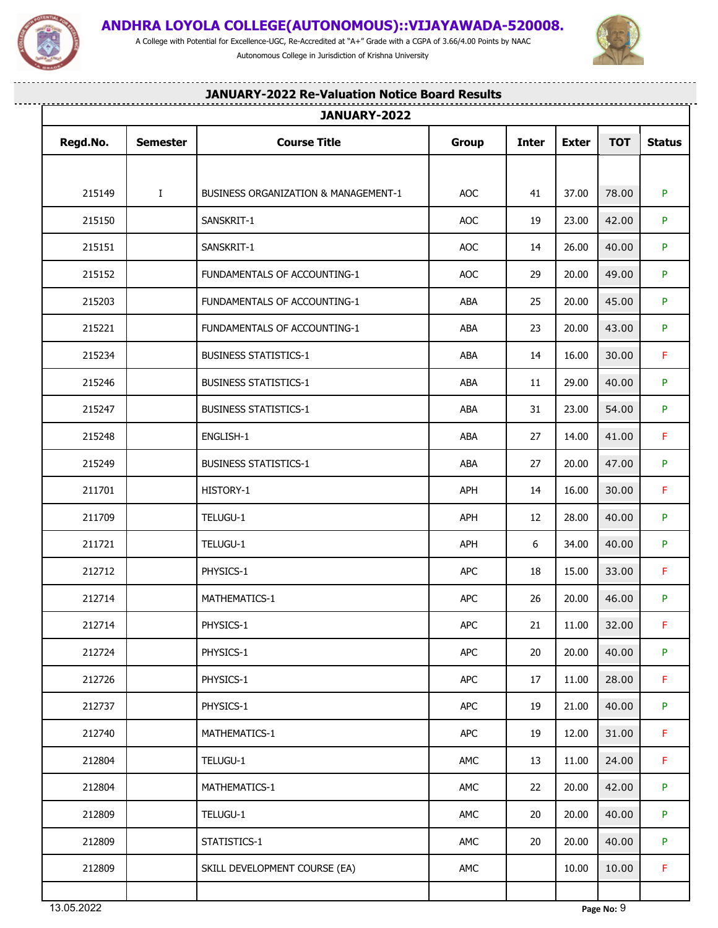

<u>...................</u>

## **ANDHRA LOYOLA COLLEGE(AUTONOMOUS)::VIJAYAWADA-520008.**

A College with Potential for Excellence-UGC, Re-Accredited at "A+" Grade with a CGPA of 3.66/4.00 Points by NAAC Autonomous College in Jurisdiction of Krishna University

-----------------



|          |                 | JANUARY-2022                                    |              |              |              |            |               |
|----------|-----------------|-------------------------------------------------|--------------|--------------|--------------|------------|---------------|
| Regd.No. | <b>Semester</b> | <b>Course Title</b>                             | <b>Group</b> | <b>Inter</b> | <b>Exter</b> | <b>TOT</b> | <b>Status</b> |
|          |                 |                                                 |              |              |              |            |               |
| 215149   | $\bf{I}$        | <b>BUSINESS ORGANIZATION &amp; MANAGEMENT-1</b> | AOC          | 41           | 37.00        | 78.00      | P.            |
| 215150   |                 | SANSKRIT-1                                      | AOC          | 19           | 23.00        | 42.00      | P.            |
| 215151   |                 | SANSKRIT-1                                      | <b>AOC</b>   | 14           | 26.00        | 40.00      | P.            |
| 215152   |                 | <b>FUNDAMENTALS OF ACCOUNTING-1</b>             | AOC          | 29           | 20.00        | 49.00      | P.            |
| 215203   |                 | FUNDAMENTALS OF ACCOUNTING-1                    | ABA          | 25           | 20.00        | 45.00      | P.            |
| 215221   |                 | FUNDAMENTALS OF ACCOUNTING-1                    | ABA          | 23           | 20.00        | 43.00      | P.            |
| 215234   |                 | <b>BUSINESS STATISTICS-1</b>                    | ABA          | 14           | 16.00        | 30.00      | F.            |
| 215246   |                 | <b>BUSINESS STATISTICS-1</b>                    | ABA          | 11           | 29.00        | 40.00      | P.            |
| 215247   |                 | <b>BUSINESS STATISTICS-1</b>                    | ABA          | 31           | 23.00        | 54.00      | P.            |
| 215248   |                 | ENGLISH-1                                       | ABA          | 27           | 14.00        | 41.00      | F.            |
| 215249   |                 | <b>BUSINESS STATISTICS-1</b>                    | ABA          | 27           | 20.00        | 47.00      | P.            |
| 211701   |                 | HISTORY-1                                       | APH          | 14           | 16.00        | 30.00      | F.            |
| 211709   |                 | TELUGU-1                                        | APH          | 12           | 28.00        | 40.00      | P.            |
| 211721   |                 | TELUGU-1                                        | APH          | 6            | 34.00        | 40.00      | P.            |
| 212712   |                 | PHYSICS-1                                       | <b>APC</b>   | 18           | 15.00        | 33.00      | F.            |
| 212714   |                 | MATHEMATICS-1                                   | APC          | 26           | 20.00        | 46.00      | P.            |
| 212714   |                 | PHYSICS-1                                       | <b>APC</b>   | 21           | 11.00        | 32.00      | F.            |
| 212724   |                 | PHYSICS-1                                       | APC          | 20           | 20.00        | 40.00      | P.            |
| 212726   |                 | PHYSICS-1                                       | APC          | 17           | 11.00        | 28.00      | F.            |
| 212737   |                 | PHYSICS-1                                       | APC          | 19           | 21.00        | 40.00      | P.            |
| 212740   |                 | MATHEMATICS-1                                   | APC          | 19           | 12.00        | 31.00      | F.            |
| 212804   |                 | TELUGU-1                                        | AMC          | 13           | 11.00        | 24.00      | F.            |
| 212804   |                 | MATHEMATICS-1                                   | AMC          | 22           | 20.00        | 42.00      | P.            |
| 212809   |                 | TELUGU-1                                        | AMC          | 20           | 20.00        | 40.00      | P.            |
| 212809   |                 | STATISTICS-1                                    | AMC          | 20           | 20.00        | 40.00      | P.            |
| 212809   |                 | SKILL DEVELOPMENT COURSE (EA)                   | AMC          |              | 10.00        | 10.00      | F.            |
|          |                 |                                                 |              |              |              |            |               |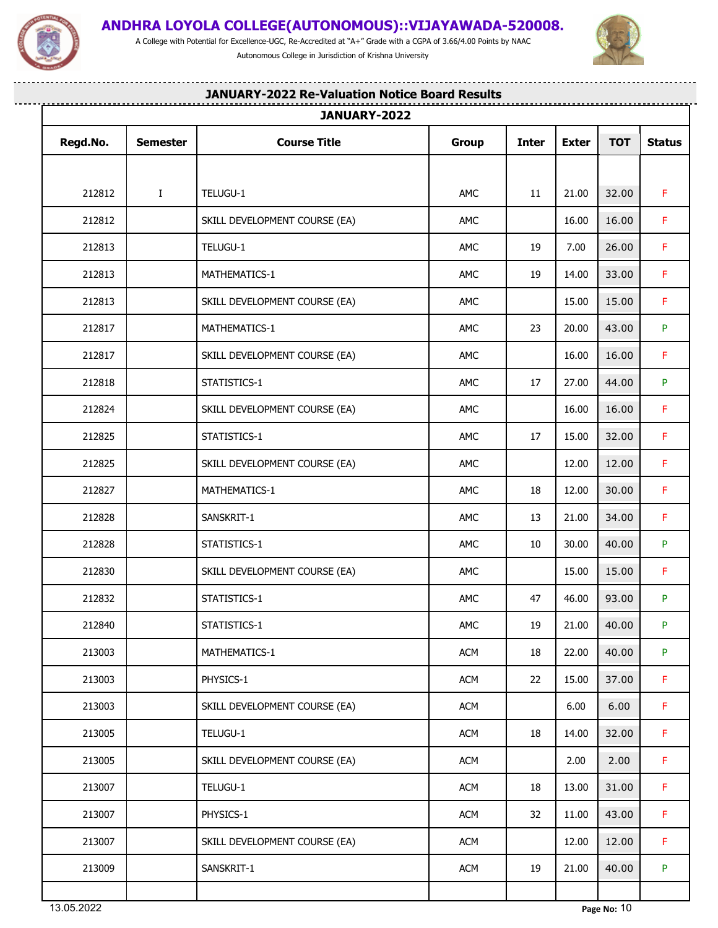

<u>..............................</u>

## **ANDHRA LOYOLA COLLEGE(AUTONOMOUS)::VIJAYAWADA-520008.**

A College with Potential for Excellence-UGC, Re-Accredited at "A+" Grade with a CGPA of 3.66/4.00 Points by NAAC Autonomous College in Jurisdiction of Krishna University

...................



. . . . . . .

-------------

|          |                 | JANUARY-2022                  |            |              |              |            |               |
|----------|-----------------|-------------------------------|------------|--------------|--------------|------------|---------------|
| Regd.No. | <b>Semester</b> | <b>Course Title</b>           | Group      | <b>Inter</b> | <b>Exter</b> | <b>TOT</b> | <b>Status</b> |
|          |                 |                               |            |              |              |            |               |
| 212812   | $\bf{I}$        | TELUGU-1                      | AMC        | 11           | 21.00        | 32.00      | F.            |
| 212812   |                 | SKILL DEVELOPMENT COURSE (EA) | AMC        |              | 16.00        | 16.00      | F.            |
| 212813   |                 | TELUGU-1                      | AMC        | 19           | 7.00         | 26.00      | F.            |
| 212813   |                 | MATHEMATICS-1                 | AMC        | 19           | 14.00        | 33.00      | F.            |
| 212813   |                 | SKILL DEVELOPMENT COURSE (EA) | AMC        |              | 15.00        | 15.00      | F.            |
| 212817   |                 | MATHEMATICS-1                 | AMC        | 23           | 20.00        | 43.00      | P.            |
| 212817   |                 | SKILL DEVELOPMENT COURSE (EA) | AMC        |              | 16.00        | 16.00      | F.            |
| 212818   |                 | STATISTICS-1                  | AMC        | 17           | 27.00        | 44.00      | P.            |
| 212824   |                 | SKILL DEVELOPMENT COURSE (EA) | AMC        |              | 16.00        | 16.00      | F.            |
| 212825   |                 | STATISTICS-1                  | AMC        | 17           | 15.00        | 32.00      | $\mathsf F$   |
| 212825   |                 | SKILL DEVELOPMENT COURSE (EA) | AMC        |              | 12.00        | 12.00      | F.            |
| 212827   |                 | MATHEMATICS-1                 | AMC        | 18           | 12.00        | 30.00      | F.            |
| 212828   |                 | SANSKRIT-1                    | AMC        | 13           | 21.00        | 34.00      | F.            |
| 212828   |                 | STATISTICS-1                  | AMC        | 10           | 30.00        | 40.00      | P.            |
| 212830   |                 | SKILL DEVELOPMENT COURSE (EA) | AMC        |              | 15.00        | 15.00      | F.            |
| 212832   |                 | STATISTICS-1                  | AMC        | 47           | 46.00        | 93.00      | P.            |
| 212840   |                 | STATISTICS-1                  | AMC        | 19           | 21.00        | 40.00      | P.            |
| 213003   |                 | MATHEMATICS-1                 | <b>ACM</b> | 18           | 22.00        | 40.00      | P.            |
| 213003   |                 | PHYSICS-1                     | <b>ACM</b> | 22           | 15.00        | 37.00      | F.            |
| 213003   |                 | SKILL DEVELOPMENT COURSE (EA) | <b>ACM</b> |              | 6.00         | 6.00       | F.            |
| 213005   |                 | TELUGU-1                      | <b>ACM</b> | 18           | 14.00        | 32.00      | F.            |
| 213005   |                 | SKILL DEVELOPMENT COURSE (EA) | ACM        |              | 2.00         | 2.00       | F.            |
| 213007   |                 | TELUGU-1                      | <b>ACM</b> | 18           | 13.00        | 31.00      | F.            |
| 213007   |                 | PHYSICS-1                     | <b>ACM</b> | 32           | 11.00        | 43.00      | F.            |
| 213007   |                 | SKILL DEVELOPMENT COURSE (EA) | <b>ACM</b> |              | 12.00        | 12.00      | F.            |
| 213009   |                 | SANSKRIT-1                    | <b>ACM</b> | 19           | 21.00        | 40.00      | P.            |
|          |                 |                               |            |              |              |            |               |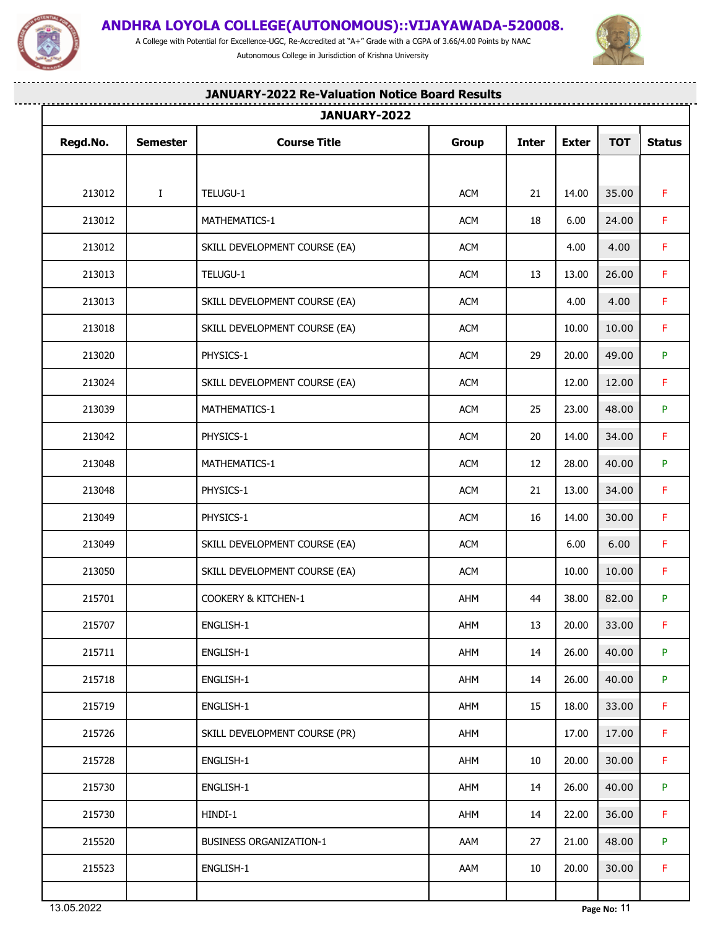

## **ANDHRA LOYOLA COLLEGE(AUTONOMOUS)::VIJAYAWADA-520008.**

A College with Potential for Excellence-UGC, Re-Accredited at "A+" Grade with a CGPA of 3.66/4.00 Points by NAAC Autonomous College in Jurisdiction of Krishna University

........................



. . . . . .

-------------------

|          |                 | JANUARY-2022                   |            |              |              |            |               |
|----------|-----------------|--------------------------------|------------|--------------|--------------|------------|---------------|
| Regd.No. | <b>Semester</b> | <b>Course Title</b>            | Group      | <b>Inter</b> | <b>Exter</b> | <b>TOT</b> | <b>Status</b> |
|          |                 |                                |            |              |              |            |               |
| 213012   | $\bf{I}$        | TELUGU-1                       | <b>ACM</b> | 21           | 14.00        | 35.00      | F.            |
| 213012   |                 | MATHEMATICS-1                  | <b>ACM</b> | 18           | 6.00         | 24.00      | F.            |
| 213012   |                 | SKILL DEVELOPMENT COURSE (EA)  | <b>ACM</b> |              | 4.00         | 4.00       | F.            |
| 213013   |                 | TELUGU-1                       | <b>ACM</b> | 13           | 13.00        | 26.00      | F.            |
| 213013   |                 | SKILL DEVELOPMENT COURSE (EA)  | <b>ACM</b> |              | 4.00         | 4.00       | F.            |
| 213018   |                 | SKILL DEVELOPMENT COURSE (EA)  | <b>ACM</b> |              | 10.00        | 10.00      | F.            |
| 213020   |                 | PHYSICS-1                      | <b>ACM</b> | 29           | 20.00        | 49.00      | P.            |
| 213024   |                 | SKILL DEVELOPMENT COURSE (EA)  | <b>ACM</b> |              | 12.00        | 12.00      | F.            |
| 213039   |                 | MATHEMATICS-1                  | <b>ACM</b> | 25           | 23.00        | 48.00      | P.            |
| 213042   |                 | PHYSICS-1                      | <b>ACM</b> | 20           | 14.00        | 34.00      | F.            |
| 213048   |                 | MATHEMATICS-1                  | <b>ACM</b> | 12           | 28.00        | 40.00      | P             |
| 213048   |                 | PHYSICS-1                      | <b>ACM</b> | 21           | 13.00        | 34.00      | F.            |
| 213049   |                 | PHYSICS-1                      | <b>ACM</b> | 16           | 14.00        | 30.00      | F.            |
| 213049   |                 | SKILL DEVELOPMENT COURSE (EA)  | <b>ACM</b> |              | 6.00         | 6.00       | F.            |
| 213050   |                 | SKILL DEVELOPMENT COURSE (EA)  | <b>ACM</b> |              | 10.00        | 10.00      | $\mathsf F$   |
| 215701   |                 | COOKERY & KITCHEN-1            | AHM        | 44           | 38.00        | 82.00      | P.            |
| 215707   |                 | ENGLISH-1                      | AHM        | 13           | 20.00        | 33.00      | F             |
| 215711   |                 | ENGLISH-1                      | AHM        | 14           | 26.00        | 40.00      | P.            |
| 215718   |                 | ENGLISH-1                      | AHM        | 14           | 26.00        | 40.00      | P.            |
| 215719   |                 | ENGLISH-1                      | AHM        | 15           | 18.00        | 33.00      | F.            |
| 215726   |                 | SKILL DEVELOPMENT COURSE (PR)  | AHM        |              | 17.00        | 17.00      | F.            |
| 215728   |                 | ENGLISH-1                      | AHM        | 10           | 20.00        | 30.00      | F.            |
| 215730   |                 | ENGLISH-1                      | AHM        | 14           | 26.00        | 40.00      | P.            |
| 215730   |                 | HINDI-1                        | AHM        | 14           | 22.00        | 36.00      | F.            |
| 215520   |                 | <b>BUSINESS ORGANIZATION-1</b> | AAM        | 27           | 21.00        | 48.00      | P             |
| 215523   |                 | ENGLISH-1                      | AAM        | 10           | 20.00        | 30.00      | F.            |
|          |                 |                                |            |              |              |            |               |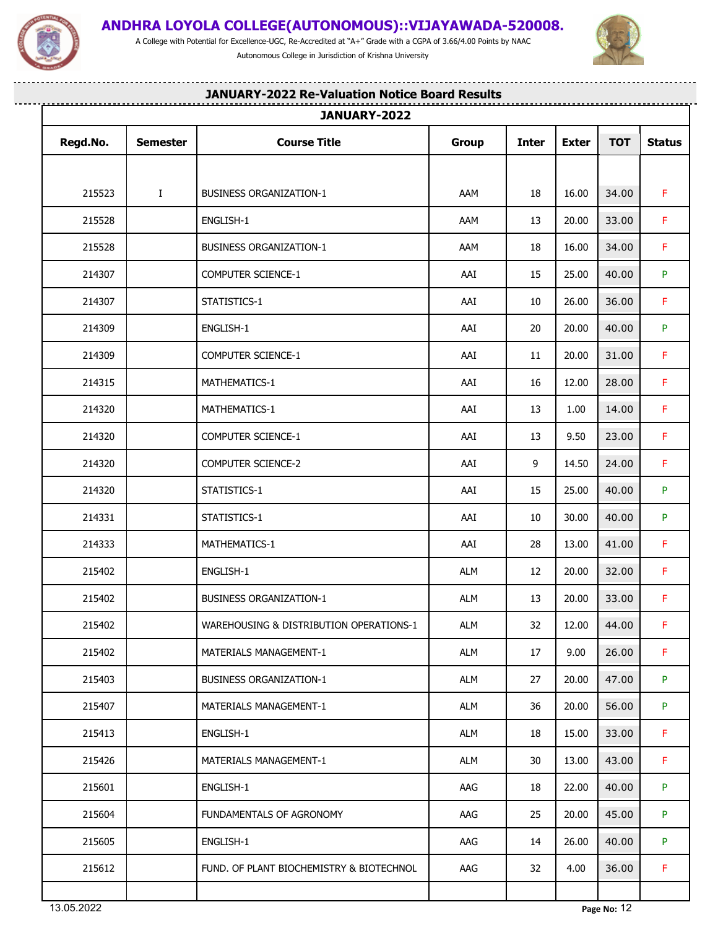

A College with Potential for Excellence-UGC, Re-Accredited at "A+" Grade with a CGPA of 3.66/4.00 Points by NAAC Autonomous College in Jurisdiction of Krishna University



--------

---------------------

## **JANUARY-2022 Re-Valuation Notice Board Results**

|          |                 | JANUARY-2022                             |              |              |              |               |               |
|----------|-----------------|------------------------------------------|--------------|--------------|--------------|---------------|---------------|
| Regd.No. | <b>Semester</b> | <b>Course Title</b>                      | <b>Group</b> | <b>Inter</b> | <b>Exter</b> | <b>TOT</b>    | <b>Status</b> |
|          |                 |                                          |              |              |              |               |               |
| 215523   | $\mathbf{I}$    | <b>BUSINESS ORGANIZATION-1</b>           | AAM          | 18           | 16.00        | 34.00         | F.            |
| 215528   |                 | ENGLISH-1                                | AAM          | 13           | 20.00        | 33.00         | F.            |
| 215528   |                 | <b>BUSINESS ORGANIZATION-1</b>           | AAM          | 18           | 16.00        | 34.00         | F.            |
| 214307   |                 | COMPUTER SCIENCE-1                       | AAI          | 15           | 25.00        | 40.00         | P.            |
| 214307   |                 | STATISTICS-1                             | AAI          | 10           | 26.00        | 36.00         | F.            |
| 214309   |                 | ENGLISH-1                                | AAI          | 20           | 20.00        | 40.00         | P.            |
| 214309   |                 | COMPUTER SCIENCE-1                       | AAI          | 11           | 20.00        | 31.00         | F.            |
| 214315   |                 | MATHEMATICS-1                            | AAI          | 16           | 12.00        | 28.00         | F.            |
| 214320   |                 | MATHEMATICS-1                            | AAI          | 13           | 1.00         | 14.00         | F.            |
| 214320   |                 | COMPUTER SCIENCE-1                       | AAI          | 13           | 9.50         | 23.00         | F.            |
| 214320   |                 | COMPUTER SCIENCE-2                       | AAI          | 9            | 14.50        | 24.00         | F.            |
| 214320   |                 | STATISTICS-1                             | AAI          | 15           | 25.00        | 40.00         | P.            |
| 214331   |                 | STATISTICS-1                             | AAI          | 10           | 30.00        | 40.00         | P.            |
| 214333   |                 | MATHEMATICS-1                            | AAI          | 28           | 13.00        | 41.00         | F.            |
| 215402   |                 | ENGLISH-1                                | ALM          | 12           | 20.00        | 32.00         | F.            |
| 215402   |                 | <b>BUSINESS ORGANIZATION-1</b>           | ALM          | 13           | 20.00        | 33.00         | $\mathsf F$   |
| 215402   |                 | WAREHOUSING & DISTRIBUTION OPERATIONS-1  | ALM          | 32           |              | $12.00$ 44.00 | $\mathsf F$   |
| 215402   |                 | <b>MATERIALS MANAGEMENT-1</b>            | ALM          | 17           | 9.00         | 26.00         | F.            |
| 215403   |                 | <b>BUSINESS ORGANIZATION-1</b>           | ALM          | 27           | 20.00        | 47.00         | P.            |
| 215407   |                 | MATERIALS MANAGEMENT-1                   | ALM          | 36           | 20.00        | 56.00         | P.            |
| 215413   |                 | ENGLISH-1                                | ALM          | 18           | 15.00        | 33.00         | F.            |
| 215426   |                 | <b>MATERIALS MANAGEMENT-1</b>            | ALM          | 30           | 13.00        | 43.00         | F.            |
| 215601   |                 | ENGLISH-1                                | AAG          | 18           | 22.00        | 40.00         | P.            |
| 215604   |                 | FUNDAMENTALS OF AGRONOMY                 | AAG          | 25           | 20.00        | 45.00         | P.            |
| 215605   |                 | ENGLISH-1                                | AAG          | 14           | 26.00        | 40.00         | P.            |
| 215612   |                 | FUND. OF PLANT BIOCHEMISTRY & BIOTECHNOL | AAG          | 32           | 4.00         | 36.00         | F.            |
|          |                 |                                          |              |              |              |               |               |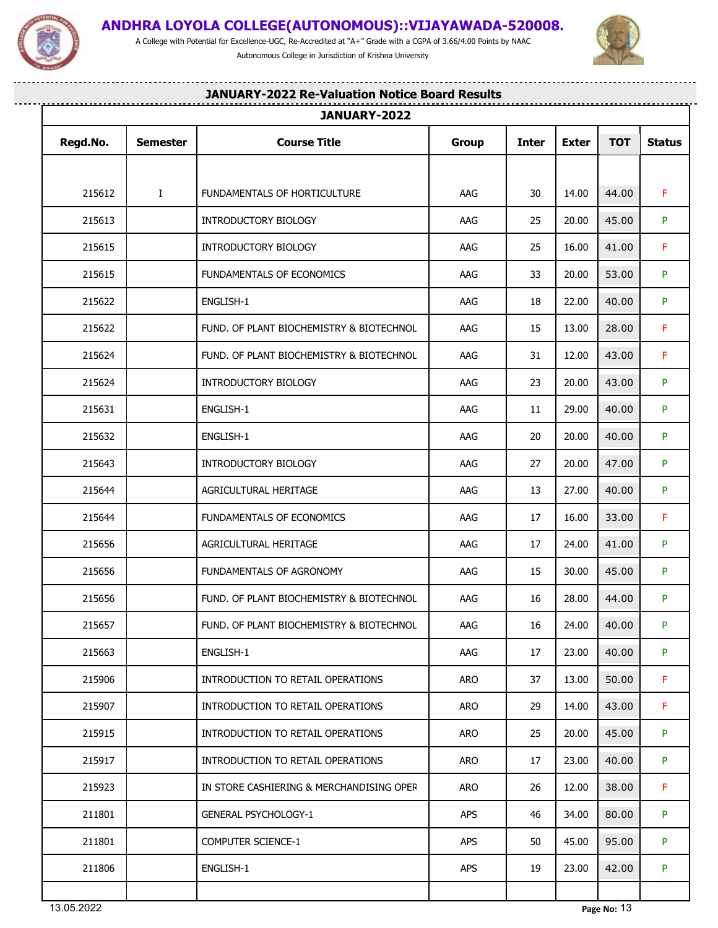

A College with Potential for Excellence-UGC, Re-Accredited at "A+" Grade with a CGPA of 3.66/4.00 Points by NAAC Autonomous College in Jurisdiction of Krishna University



--------

----------------------

## **JANUARY-2022 Re-Valuation Notice Board Results**

| Regd.No. | <b>Semester</b> | <b>Course Title</b>                      | Group      | <b>Inter</b> | <b>Exter</b> | <b>TOT</b> | <b>Status</b> |
|----------|-----------------|------------------------------------------|------------|--------------|--------------|------------|---------------|
|          |                 |                                          |            |              |              |            |               |
| 215612   | $\bf{I}$        | FUNDAMENTALS OF HORTICULTURE             | AAG        | 30           | 14.00        | 44.00      | F.            |
| 215613   |                 | INTRODUCTORY BIOLOGY                     | AAG        | 25           | 20.00        | 45.00      | P.            |
| 215615   |                 | INTRODUCTORY BIOLOGY                     | AAG        | 25           | 16.00        | 41.00      | F.            |
| 215615   |                 | FUNDAMENTALS OF ECONOMICS                | AAG        | 33           | 20.00        | 53.00      | P.            |
| 215622   |                 | ENGLISH-1                                | AAG        | 18           | 22.00        | 40.00      | P.            |
| 215622   |                 | FUND. OF PLANT BIOCHEMISTRY & BIOTECHNOL | AAG        | 15           | 13.00        | 28.00      | F.            |
| 215624   |                 | FUND. OF PLANT BIOCHEMISTRY & BIOTECHNOL | AAG        | 31           | 12.00        | 43.00      | F.            |
| 215624   |                 | INTRODUCTORY BIOLOGY                     | AAG        | 23           | 20.00        | 43.00      | P             |
| 215631   |                 | ENGLISH-1                                | AAG        | 11           | 29.00        | 40.00      | P.            |
| 215632   |                 | ENGLISH-1                                | AAG        | 20           | 20.00        | 40.00      | P             |
| 215643   |                 | INTRODUCTORY BIOLOGY                     | AAG        | 27           | 20.00        | 47.00      | P.            |
| 215644   |                 | AGRICULTURAL HERITAGE                    | AAG        | 13           | 27.00        | 40.00      | P.            |
| 215644   |                 | FUNDAMENTALS OF ECONOMICS                | AAG        | 17           | 16.00        | 33.00      | F             |
| 215656   |                 | AGRICULTURAL HERITAGE                    | AAG        | 17           | 24.00        | 41.00      | P             |
| 215656   |                 | FUNDAMENTALS OF AGRONOMY                 | AAG        | 15           | 30.00        | 45.00      | P.            |
| 215656   |                 | FUND. OF PLANT BIOCHEMISTRY & BIOTECHNOL | AAG        | 16           | 28.00        | 44.00      | P.            |
| 215657   |                 | FUND. OF PLANT BIOCHEMISTRY & BIOTECHNOL | AAG        | 16           | 24.00        | 40.00      | P             |
| 215663   |                 | ENGLISH-1                                | AAG        | 17           | 23.00        | 40.00      | P.            |
| 215906   |                 | INTRODUCTION TO RETAIL OPERATIONS        | ARO        | 37           | 13.00        | 50.00      | F.            |
| 215907   |                 | INTRODUCTION TO RETAIL OPERATIONS        | ARO        | 29           | 14.00        | 43.00      | F.            |
| 215915   |                 | INTRODUCTION TO RETAIL OPERATIONS        | ARO        | 25           | 20.00        | 45.00      | P.            |
| 215917   |                 | INTRODUCTION TO RETAIL OPERATIONS        | ARO        | 17           | 23.00        | 40.00      | P.            |
| 215923   |                 | IN STORE CASHIERING & MERCHANDISING OPER | ARO        | 26           | 12.00        | 38.00      | F.            |
| 211801   |                 | <b>GENERAL PSYCHOLOGY-1</b>              | <b>APS</b> | 46           | 34.00        | 80.00      | P.            |
| 211801   |                 | <b>COMPUTER SCIENCE-1</b>                | <b>APS</b> | 50           | 45.00        | 95.00      | P.            |
| 211806   |                 | ENGLISH-1                                | <b>APS</b> | 19           | 23.00        | 42.00      | P.            |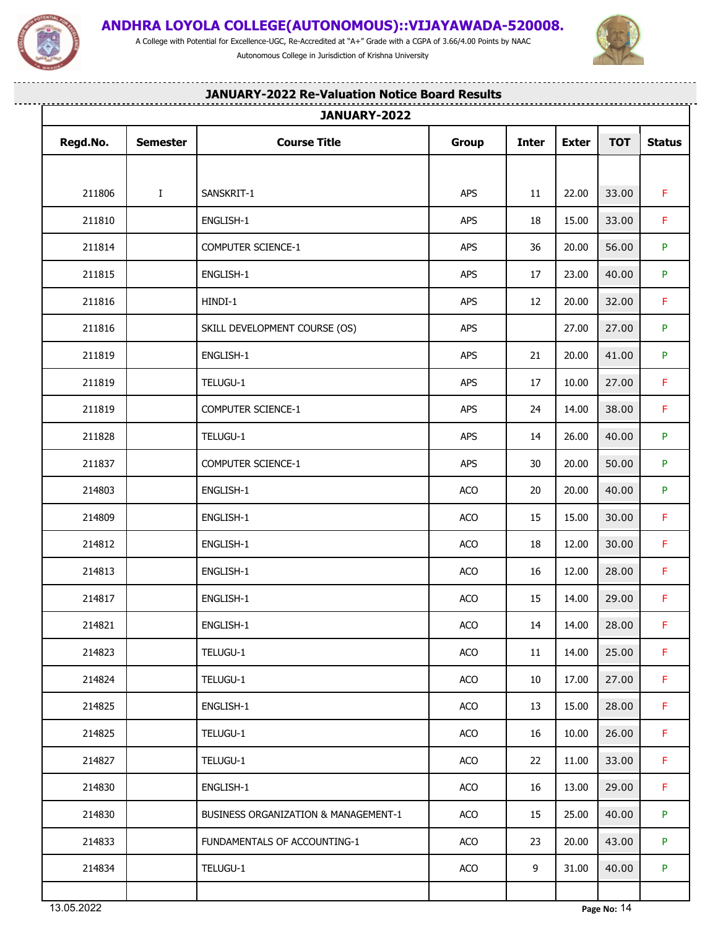

<u>..............................</u>

## **ANDHRA LOYOLA COLLEGE(AUTONOMOUS)::VIJAYAWADA-520008.**

A College with Potential for Excellence-UGC, Re-Accredited at "A+" Grade with a CGPA of 3.66/4.00 Points by NAAC Autonomous College in Jurisdiction of Krishna University

...................



. . . . . . .

. . . . . . . . . . . . . . . . .

| JANUARY-2022 |                 |                                      |       |              |              |            |               |
|--------------|-----------------|--------------------------------------|-------|--------------|--------------|------------|---------------|
| Regd.No.     | <b>Semester</b> | <b>Course Title</b>                  | Group | <b>Inter</b> | <b>Exter</b> | <b>TOT</b> | <b>Status</b> |
|              |                 |                                      |       |              |              |            |               |
| 211806       | $\bf{I}$        | SANSKRIT-1                           | APS   | 11           | 22.00        | 33.00      | F.            |
| 211810       |                 | ENGLISH-1                            | APS   | 18           | 15.00        | 33.00      | F.            |
| 211814       |                 | COMPUTER SCIENCE-1                   | APS   | 36           | 20.00        | 56.00      | P             |
| 211815       |                 | ENGLISH-1                            | APS   | 17           | 23.00        | 40.00      | P             |
| 211816       |                 | HINDI-1                              | APS   | 12           | 20.00        | 32.00      | F.            |
| 211816       |                 | SKILL DEVELOPMENT COURSE (OS)        | APS   |              | 27.00        | 27.00      | P.            |
| 211819       |                 | ENGLISH-1                            | APS   | 21           | 20.00        | 41.00      | P.            |
| 211819       |                 | TELUGU-1                             | APS   | 17           | 10.00        | 27.00      | F.            |
| 211819       |                 | COMPUTER SCIENCE-1                   | APS   | 24           | 14.00        | 38.00      | F.            |
| 211828       |                 | TELUGU-1                             | APS   | 14           | 26.00        | 40.00      | P             |
| 211837       |                 | COMPUTER SCIENCE-1                   | APS   | 30           | 20.00        | 50.00      | P.            |
| 214803       |                 | ENGLISH-1                            | ACO   | 20           | 20.00        | 40.00      | P.            |
| 214809       |                 | ENGLISH-1                            | ACO   | 15           | 15.00        | 30.00      | F.            |
| 214812       |                 | ENGLISH-1                            | ACO   | 18           | 12.00        | 30.00      | $\mathsf F$   |
| 214813       |                 | ENGLISH-1                            | ACO   | 16           | 12.00        | 28.00      | F.            |
| 214817       |                 | ENGLISH-1                            | ACO   | 15           | 14.00        | 29.00      | F.            |
| 214821       |                 | ENGLISH-1                            | ACO   | 14           | 14.00        | 28.00      | F.            |
| 214823       |                 | TELUGU-1                             | ACO   | 11           | 14.00        | 25.00      | F.            |
| 214824       |                 | TELUGU-1                             | ACO   | 10           | 17.00        | 27.00      | F.            |
| 214825       |                 | ENGLISH-1                            | ACO   | 13           | 15.00        | 28.00      | F.            |
| 214825       |                 | TELUGU-1                             | ACO   | 16           | 10.00        | 26.00      | F.            |
| 214827       |                 | TELUGU-1                             | ACO   | 22           | 11.00        | 33.00      | F.            |
| 214830       |                 | ENGLISH-1                            | ACO   | 16           | 13.00        | 29.00      | F.            |
| 214830       |                 | BUSINESS ORGANIZATION & MANAGEMENT-1 | ACO   | 15           | 25.00        | 40.00      | P.            |
| 214833       |                 | FUNDAMENTALS OF ACCOUNTING-1         | ACO   | 23           | 20.00        | 43.00      | P.            |
| 214834       |                 | TELUGU-1                             | ACO   | 9            | 31.00        | 40.00      | P.            |
|              |                 |                                      |       |              |              |            |               |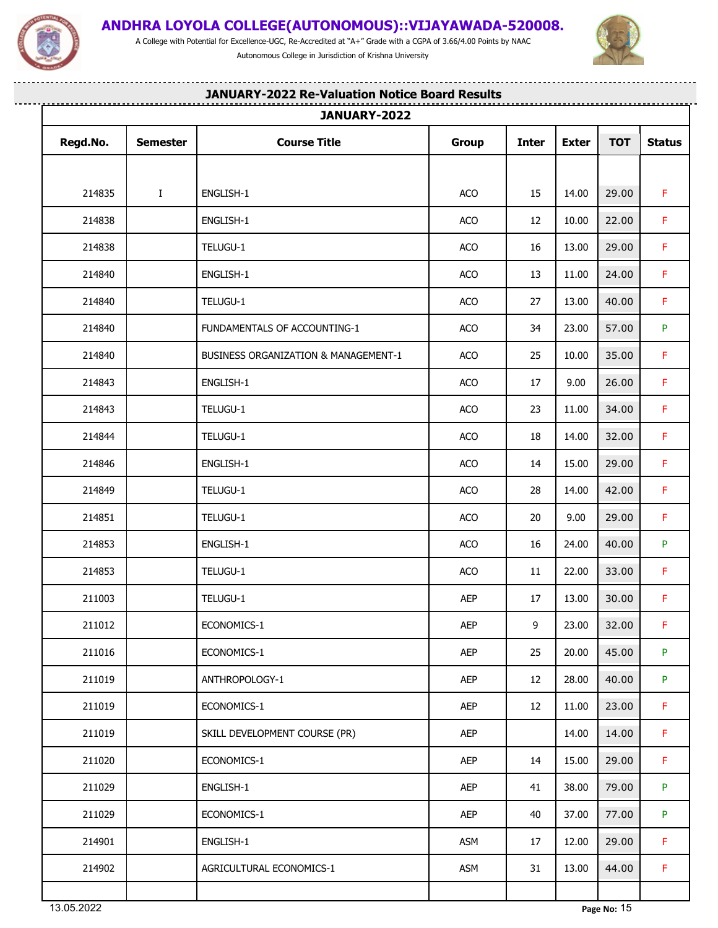

A College with Potential for Excellence-UGC, Re-Accredited at "A+" Grade with a CGPA of 3.66/4.00 Points by NAAC Autonomous College in Jurisdiction of Krishna University



-------

--------------------

## **JANUARY-2022 Re-Valuation Notice Board Results**

|          | JANUARY-2022    |                                      |              |              |              |            |               |
|----------|-----------------|--------------------------------------|--------------|--------------|--------------|------------|---------------|
| Regd.No. | <b>Semester</b> | <b>Course Title</b>                  | <b>Group</b> | <b>Inter</b> | <b>Exter</b> | <b>TOT</b> | <b>Status</b> |
|          |                 |                                      |              |              |              |            |               |
| 214835   | $\bf{I}$        | ENGLISH-1                            | ACO          | 15           | 14.00        | 29.00      | F.            |
| 214838   |                 | ENGLISH-1                            | ACO          | 12           | 10.00        | 22.00      | F.            |
| 214838   |                 | TELUGU-1                             | ACO          | 16           | 13.00        | 29.00      | F.            |
| 214840   |                 | ENGLISH-1                            | ACO          | 13           | 11.00        | 24.00      | F.            |
| 214840   |                 | TELUGU-1                             | ACO          | 27           | 13.00        | 40.00      | F.            |
| 214840   |                 | FUNDAMENTALS OF ACCOUNTING-1         | ACO          | 34           | 23.00        | 57.00      | P.            |
| 214840   |                 | BUSINESS ORGANIZATION & MANAGEMENT-1 | ACO          | 25           | 10.00        | 35.00      | F.            |
| 214843   |                 | ENGLISH-1                            | ACO          | 17           | 9.00         | 26.00      | F.            |
| 214843   |                 | TELUGU-1                             | ACO          | 23           | 11.00        | 34.00      | F.            |
| 214844   |                 | TELUGU-1                             | ACO          | 18           | 14.00        | 32.00      | F.            |
| 214846   |                 | ENGLISH-1                            | ACO          | 14           | 15.00        | 29.00      | F.            |
| 214849   |                 | TELUGU-1                             | ACO          | 28           | 14.00        | 42.00      | F.            |
| 214851   |                 | TELUGU-1                             | ACO          | 20           | 9.00         | 29.00      | F.            |
| 214853   |                 | ENGLISH-1                            | ACO          | 16           | 24.00        | 40.00      | P.            |
| 214853   |                 | TELUGU-1                             | ACO          | 11           | 22.00        | 33.00      | F.            |
| 211003   |                 | TELUGU-1                             | AEP          | 17           | 13.00        | 30.00      | F.            |
| 211012   |                 | ECONOMICS-1                          | AEP          | 9            | 23.00        | 32.00      | $\mathsf F$   |
| 211016   |                 | ECONOMICS-1                          | AEP          | 25           | 20.00        | 45.00      | P.            |
| 211019   |                 | ANTHROPOLOGY-1                       | AEP          | 12           | 28.00        | 40.00      | P.            |
| 211019   |                 | ECONOMICS-1                          | AEP          | 12           | 11.00        | 23.00      | F.            |
| 211019   |                 | SKILL DEVELOPMENT COURSE (PR)        | <b>AEP</b>   |              | 14.00        | 14.00      | F.            |
| 211020   |                 | ECONOMICS-1                          | <b>AEP</b>   | 14           | 15.00        | 29.00      | F.            |
| 211029   |                 | ENGLISH-1                            | AEP          | 41           | 38.00        | 79.00      | P             |
| 211029   |                 | ECONOMICS-1                          | AEP          | 40           | 37.00        | 77.00      | P             |
| 214901   |                 | ENGLISH-1                            | <b>ASM</b>   | 17           | 12.00        | 29.00      | F.            |
| 214902   |                 | AGRICULTURAL ECONOMICS-1             | <b>ASM</b>   | 31           | 13.00        | 44.00      | F.            |
|          |                 |                                      |              |              |              |            |               |